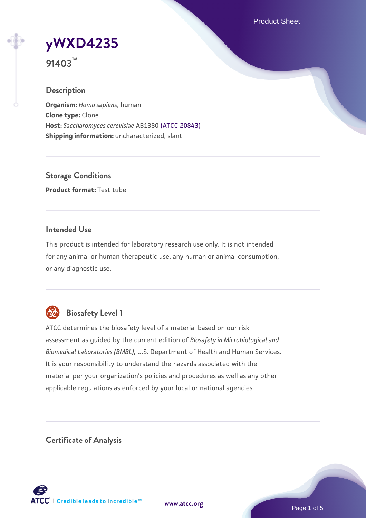Product Sheet

**[yWXD4235](https://www.atcc.org/products/91403)**

**91403™**

### **Description**

**Organism:** *Homo sapiens*, human **Clone type:** Clone **Host:** *Saccharomyces cerevisiae* AB1380 [\(ATCC 20843\)](https://www.atcc.org/products/20843) **Shipping information:** uncharacterized, slant

**Storage Conditions Product format:** Test tube

## **Intended Use**

This product is intended for laboratory research use only. It is not intended for any animal or human therapeutic use, any human or animal consumption, or any diagnostic use.



# **Biosafety Level 1**

ATCC determines the biosafety level of a material based on our risk assessment as guided by the current edition of *Biosafety in Microbiological and Biomedical Laboratories (BMBL)*, U.S. Department of Health and Human Services. It is your responsibility to understand the hazards associated with the material per your organization's policies and procedures as well as any other applicable regulations as enforced by your local or national agencies.

**Certificate of Analysis**

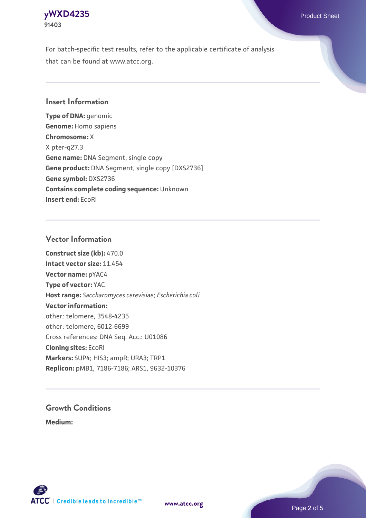### **[yWXD4235](https://www.atcc.org/products/91403)** Product Sheet **91403**

For batch-specific test results, refer to the applicable certificate of analysis that can be found at www.atcc.org.

## **Insert Information**

**Type of DNA:** genomic **Genome:** Homo sapiens **Chromosome:** X X pter-q27.3 **Gene name:** DNA Segment, single copy **Gene product:** DNA Segment, single copy [DXS2736] **Gene symbol:** DXS2736 **Contains complete coding sequence:** Unknown **Insert end:** EcoRI

## **Vector Information**

**Construct size (kb):** 470.0 **Intact vector size:** 11.454 **Vector name:** pYAC4 **Type of vector:** YAC **Host range:** *Saccharomyces cerevisiae*; *Escherichia coli* **Vector information:** other: telomere, 3548-4235 other: telomere, 6012-6699 Cross references: DNA Seq. Acc.: U01086 **Cloning sites:** EcoRI **Markers:** SUP4; HIS3; ampR; URA3; TRP1 **Replicon:** pMB1, 7186-7186; ARS1, 9632-10376

# **Growth Conditions**

**Medium:** 



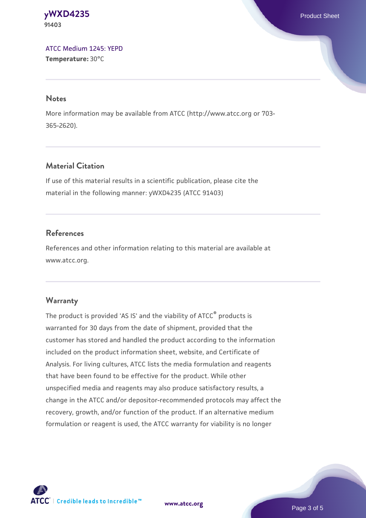#### **[yWXD4235](https://www.atcc.org/products/91403)** Product Sheet **91403**

[ATCC Medium 1245: YEPD](https://www.atcc.org/-/media/product-assets/documents/microbial-media-formulations/1/2/4/5/atcc-medium-1245.pdf?rev=705ca55d1b6f490a808a965d5c072196) **Temperature:** 30°C

#### **Notes**

More information may be available from ATCC (http://www.atcc.org or 703- 365-2620).

# **Material Citation**

If use of this material results in a scientific publication, please cite the material in the following manner: yWXD4235 (ATCC 91403)

# **References**

References and other information relating to this material are available at www.atcc.org.

# **Warranty**

The product is provided 'AS IS' and the viability of ATCC® products is warranted for 30 days from the date of shipment, provided that the customer has stored and handled the product according to the information included on the product information sheet, website, and Certificate of Analysis. For living cultures, ATCC lists the media formulation and reagents that have been found to be effective for the product. While other unspecified media and reagents may also produce satisfactory results, a change in the ATCC and/or depositor-recommended protocols may affect the recovery, growth, and/or function of the product. If an alternative medium formulation or reagent is used, the ATCC warranty for viability is no longer

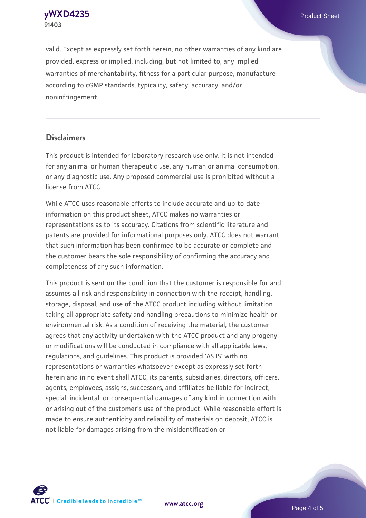**[yWXD4235](https://www.atcc.org/products/91403)** Product Sheet **91403**

valid. Except as expressly set forth herein, no other warranties of any kind are provided, express or implied, including, but not limited to, any implied warranties of merchantability, fitness for a particular purpose, manufacture according to cGMP standards, typicality, safety, accuracy, and/or noninfringement.

#### **Disclaimers**

This product is intended for laboratory research use only. It is not intended for any animal or human therapeutic use, any human or animal consumption, or any diagnostic use. Any proposed commercial use is prohibited without a license from ATCC.

While ATCC uses reasonable efforts to include accurate and up-to-date information on this product sheet, ATCC makes no warranties or representations as to its accuracy. Citations from scientific literature and patents are provided for informational purposes only. ATCC does not warrant that such information has been confirmed to be accurate or complete and the customer bears the sole responsibility of confirming the accuracy and completeness of any such information.

This product is sent on the condition that the customer is responsible for and assumes all risk and responsibility in connection with the receipt, handling, storage, disposal, and use of the ATCC product including without limitation taking all appropriate safety and handling precautions to minimize health or environmental risk. As a condition of receiving the material, the customer agrees that any activity undertaken with the ATCC product and any progeny or modifications will be conducted in compliance with all applicable laws, regulations, and guidelines. This product is provided 'AS IS' with no representations or warranties whatsoever except as expressly set forth herein and in no event shall ATCC, its parents, subsidiaries, directors, officers, agents, employees, assigns, successors, and affiliates be liable for indirect, special, incidental, or consequential damages of any kind in connection with or arising out of the customer's use of the product. While reasonable effort is made to ensure authenticity and reliability of materials on deposit, ATCC is not liable for damages arising from the misidentification or



**[www.atcc.org](http://www.atcc.org)**

Page 4 of 5